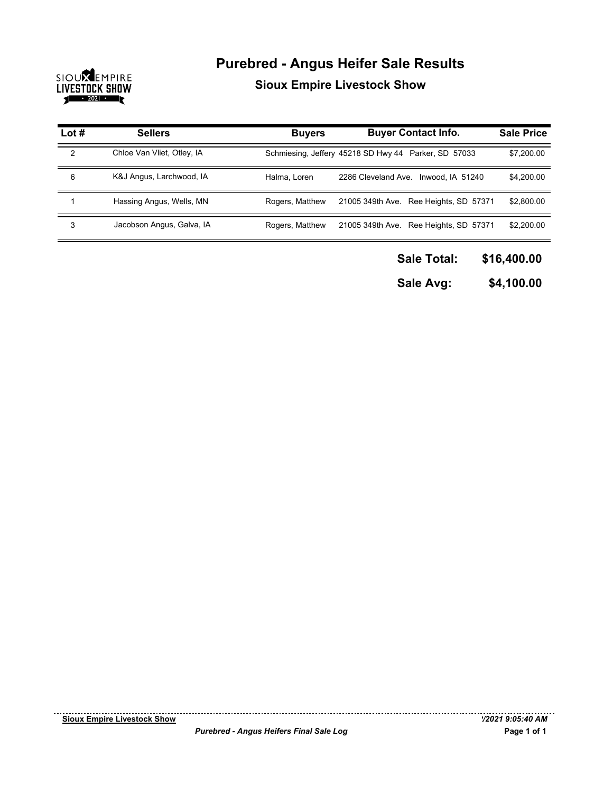

## **Purebred - Angus Heifer Sale Results**

**Sioux Empire Livestock Show**

| Lot $#$ | <b>Sellers</b>             | <b>Buyers</b>   | <b>Buyer Contact Info.</b>                           | <b>Sale Price</b> |
|---------|----------------------------|-----------------|------------------------------------------------------|-------------------|
| 2       | Chloe Van Vliet, Otley, IA |                 | Schmiesing, Jeffery 45218 SD Hwy 44 Parker, SD 57033 | \$7,200.00        |
| 6       | K&J Angus, Larchwood, IA   | Halma, Loren    | 2286 Cleveland Ave.<br>Inwood, IA 51240              | \$4,200.00        |
|         | Hassing Angus, Wells, MN   | Rogers, Matthew | 21005 349th Ave. Ree Heights, SD 57371               | \$2,800.00        |
| 3       | Jacobson Angus, Galva, IA  | Rogers, Matthew | 21005 349th Ave. Ree Heights, SD 57371               | \$2,200.00        |

**\$16,400.00 Sale Total:**

**\$4,100.00 Sale Avg:**